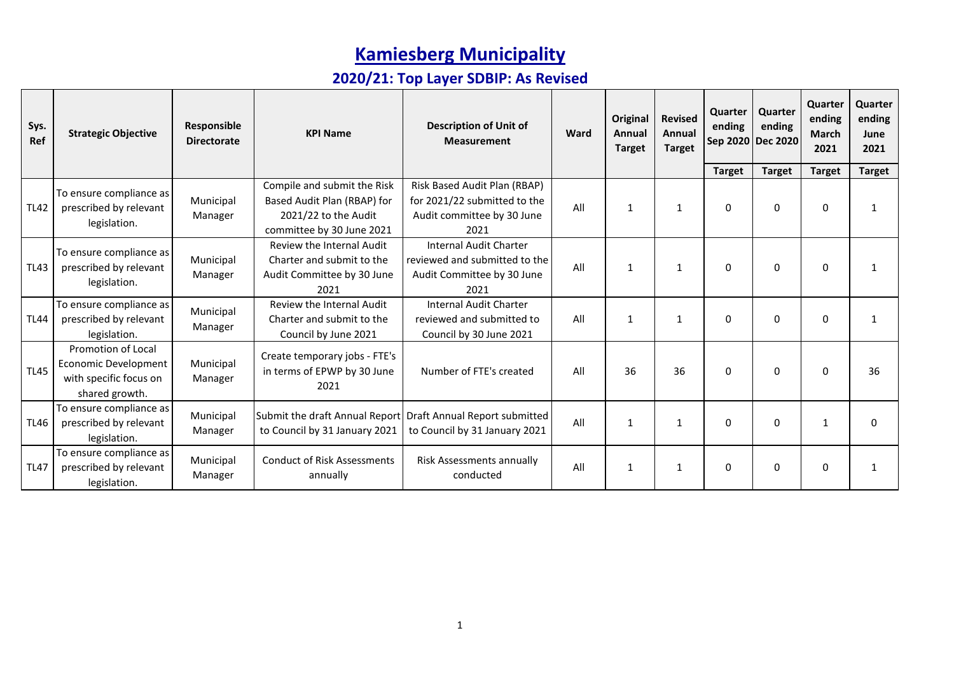| Sys.<br>Ref | <b>Strategic Objective</b>                                                                    | Responsible<br><b>Directorate</b> | <b>KPI Name</b>                                                                                                 | <b>Description of Unit of</b><br><b>Measurement</b>                                                  | Ward | Original<br>Annual<br><b>Target</b> | <b>Revised</b><br>Annual<br><b>Target</b> | Quarter<br>ending | Quarter<br>ending<br>Sep 2020 Dec 2020 | Quarter<br>ending<br><b>March</b><br>2021 | Quarter<br>ending<br>June<br>2021 |
|-------------|-----------------------------------------------------------------------------------------------|-----------------------------------|-----------------------------------------------------------------------------------------------------------------|------------------------------------------------------------------------------------------------------|------|-------------------------------------|-------------------------------------------|-------------------|----------------------------------------|-------------------------------------------|-----------------------------------|
|             |                                                                                               |                                   |                                                                                                                 |                                                                                                      |      |                                     |                                           | <b>Target</b>     | <b>Target</b>                          | <b>Target</b>                             | <b>Target</b>                     |
| <b>TL42</b> | To ensure compliance as<br>prescribed by relevant<br>legislation.                             | Municipal<br>Manager              | Compile and submit the Risk<br>Based Audit Plan (RBAP) for<br>2021/22 to the Audit<br>committee by 30 June 2021 | Risk Based Audit Plan (RBAP)<br>for 2021/22 submitted to the<br>Audit committee by 30 June<br>2021   | All  | 1                                   | 1                                         | 0                 | 0                                      | 0                                         | 1                                 |
| <b>TL43</b> | To ensure compliance as<br>prescribed by relevant<br>legislation.                             | Municipal<br>Manager              | Review the Internal Audit<br>Charter and submit to the<br>Audit Committee by 30 June<br>2021                    | <b>Internal Audit Charter</b><br>reviewed and submitted to the<br>Audit Committee by 30 June<br>2021 | All  | $\mathbf{1}$                        | 1                                         | $\Omega$          | $\Omega$                               | $\mathbf{0}$                              | -1                                |
| <b>TL44</b> | To ensure compliance as<br>prescribed by relevant<br>legislation.                             | Municipal<br>Manager              | Review the Internal Audit<br>Charter and submit to the<br>Council by June 2021                                  | Internal Audit Charter<br>reviewed and submitted to<br>Council by 30 June 2021                       | All  | 1                                   | 1                                         | 0                 | $\Omega$                               | $\Omega$                                  | $\mathbf{1}$                      |
| <b>TL45</b> | Promotion of Local<br><b>Economic Development</b><br>with specific focus on<br>shared growth. | Municipal<br>Manager              | Create temporary jobs - FTE's<br>in terms of EPWP by 30 June<br>2021                                            | Number of FTE's created                                                                              | All  | 36                                  | 36                                        | 0                 | $\Omega$                               | $\mathbf{0}$                              | 36                                |
| <b>TL46</b> | To ensure compliance as<br>prescribed by relevant<br>legislation.                             | Municipal<br>Manager              | to Council by 31 January 2021                                                                                   | Submit the draft Annual Report Draft Annual Report submitted<br>to Council by 31 January 2021        | All  | 1                                   | 1                                         | $\mathbf 0$       | 0                                      | $\mathbf{1}$                              | $\Omega$                          |
| <b>TL47</b> | To ensure compliance as<br>prescribed by relevant<br>legislation.                             | Municipal<br>Manager              | <b>Conduct of Risk Assessments</b><br>annually                                                                  | Risk Assessments annually<br>conducted                                                               | All  | 1                                   | 1                                         | 0                 | 0                                      | 0                                         | $\mathbf{1}$                      |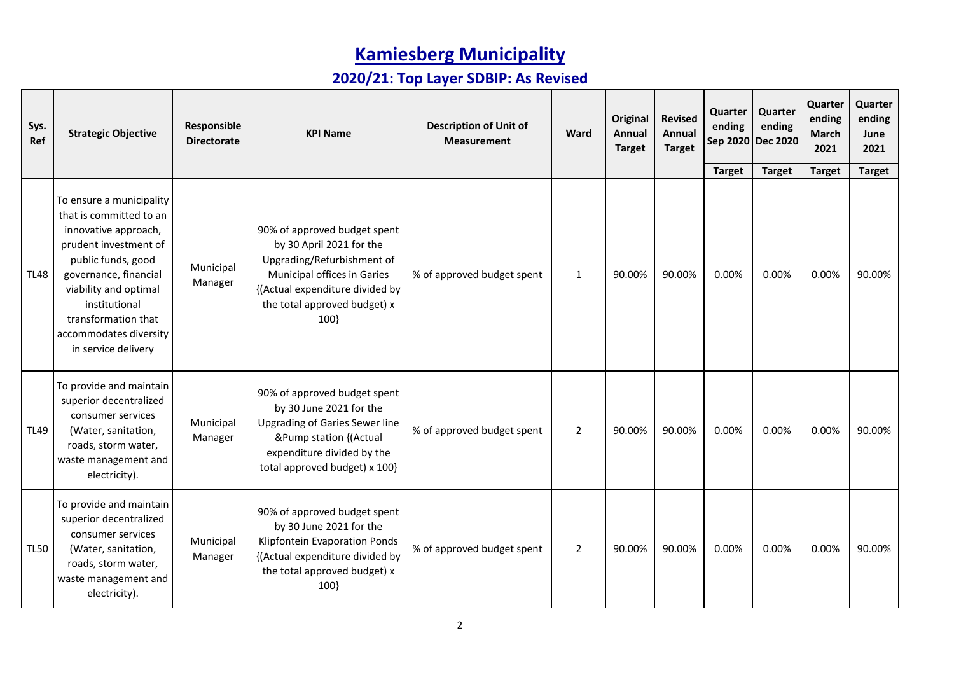| Sys.<br>Ref | <b>Strategic Objective</b>                                                                                                                                                                                                                                            | Responsible<br><b>Directorate</b> | <b>KPI Name</b>                                                                                                                                                                                 | <b>Description of Unit of</b><br><b>Measurement</b> | Ward           | <b>Original</b><br>Annual<br><b>Target</b> | <b>Revised</b><br>Annual<br><b>Target</b> | Quarter<br>ending | Quarter<br>ending<br>Sep 2020 Dec 2020 | Quarter<br>ending<br>March<br>2021 | Quarter<br>ending<br>June<br>2021 |
|-------------|-----------------------------------------------------------------------------------------------------------------------------------------------------------------------------------------------------------------------------------------------------------------------|-----------------------------------|-------------------------------------------------------------------------------------------------------------------------------------------------------------------------------------------------|-----------------------------------------------------|----------------|--------------------------------------------|-------------------------------------------|-------------------|----------------------------------------|------------------------------------|-----------------------------------|
|             |                                                                                                                                                                                                                                                                       |                                   |                                                                                                                                                                                                 |                                                     |                |                                            |                                           | <b>Target</b>     | <b>Target</b>                          | <b>Target</b>                      | <b>Target</b>                     |
| <b>TL48</b> | To ensure a municipality<br>that is committed to an<br>innovative approach,<br>prudent investment of<br>public funds, good<br>governance, financial<br>viability and optimal<br>institutional<br>transformation that<br>accommodates diversity<br>in service delivery | Municipal<br>Manager              | 90% of approved budget spent<br>by 30 April 2021 for the<br>Upgrading/Refurbishment of<br>Municipal offices in Garies<br>{(Actual expenditure divided by<br>the total approved budget) x<br>100 | % of approved budget spent                          | $\mathbf{1}$   | 90.00%                                     | 90.00%                                    | 0.00%             | 0.00%                                  | 0.00%                              | 90.00%                            |
| <b>TL49</b> | To provide and maintain<br>superior decentralized<br>consumer services<br>(Water, sanitation,<br>roads, storm water,<br>waste management and<br>electricity).                                                                                                         | Municipal<br>Manager              | 90% of approved budget spent<br>by 30 June 2021 for the<br><b>Upgrading of Garies Sewer line</b><br>&Pump station {(Actual<br>expenditure divided by the<br>total approved budget) x 100}       | % of approved budget spent                          | $\overline{2}$ | 90.00%                                     | 90.00%                                    | 0.00%             | 0.00%                                  | 0.00%                              | 90.00%                            |
| <b>TL50</b> | To provide and maintain<br>superior decentralized<br>consumer services<br>(Water, sanitation,<br>roads, storm water,<br>waste management and<br>electricity).                                                                                                         | Municipal<br>Manager              | 90% of approved budget spent<br>by 30 June 2021 for the<br>Klipfontein Evaporation Ponds<br>{(Actual expenditure divided by<br>the total approved budget) x<br>100                              | % of approved budget spent                          | $\overline{2}$ | 90.00%                                     | 90.00%                                    | 0.00%             | 0.00%                                  | 0.00%                              | 90.00%                            |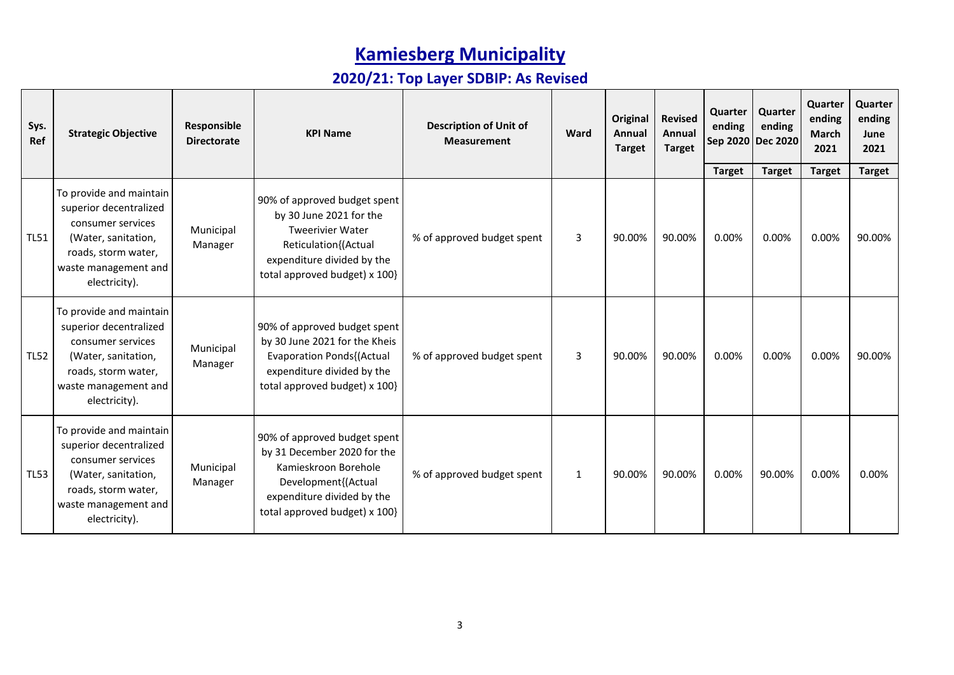| Sys.<br>Ref | <b>Strategic Objective</b>                                                                                                                                    | Responsible<br><b>Directorate</b> | <b>KPI Name</b>                                                                                                                                                           | <b>Description of Unit of</b><br><b>Measurement</b> | Ward         | Original<br>Annual<br><b>Target</b> | <b>Revised</b><br>Annual<br><b>Target</b> | Quarter<br>ending      | Quarter<br>ending<br>Sep 2020 Dec 2020 | Quarter<br>ending<br><b>March</b><br>2021 | Quarter<br>ending<br>June<br>2021 |
|-------------|---------------------------------------------------------------------------------------------------------------------------------------------------------------|-----------------------------------|---------------------------------------------------------------------------------------------------------------------------------------------------------------------------|-----------------------------------------------------|--------------|-------------------------------------|-------------------------------------------|------------------------|----------------------------------------|-------------------------------------------|-----------------------------------|
| <b>TL51</b> | To provide and maintain<br>superior decentralized<br>consumer services<br>(Water, sanitation,<br>roads, storm water,<br>waste management and<br>electricity). | Municipal<br>Manager              | 90% of approved budget spent<br>by 30 June 2021 for the<br><b>Tweerivier Water</b><br>Reticulation{(Actual<br>expenditure divided by the<br>total approved budget) x 100} | % of approved budget spent                          | $\mathbf{3}$ | 90.00%                              | 90.00%                                    | <b>Target</b><br>0.00% | <b>Target</b><br>0.00%                 | <b>Target</b><br>0.00%                    | <b>Target</b><br>90.00%           |
| <b>TL52</b> | To provide and maintain<br>superior decentralized<br>consumer services<br>(Water, sanitation,<br>roads, storm water,<br>waste management and<br>electricity). | Municipal<br>Manager              | 90% of approved budget spent<br>by 30 June 2021 for the Kheis<br><b>Evaporation Ponds{(Actual</b><br>expenditure divided by the<br>total approved budget) x 100}          | % of approved budget spent                          | 3            | 90.00%                              | 90.00%                                    | 0.00%                  | 0.00%                                  | 0.00%                                     | 90.00%                            |
| <b>TL53</b> | To provide and maintain<br>superior decentralized<br>consumer services<br>(Water, sanitation,<br>roads, storm water,<br>waste management and<br>electricity). | Municipal<br>Manager              | 90% of approved budget spent<br>by 31 December 2020 for the<br>Kamieskroon Borehole<br>Development{(Actual<br>expenditure divided by the<br>total approved budget) x 100} | % of approved budget spent                          | $\mathbf{1}$ | 90.00%                              | 90.00%                                    | 0.00%                  | 90.00%                                 | 0.00%                                     | 0.00%                             |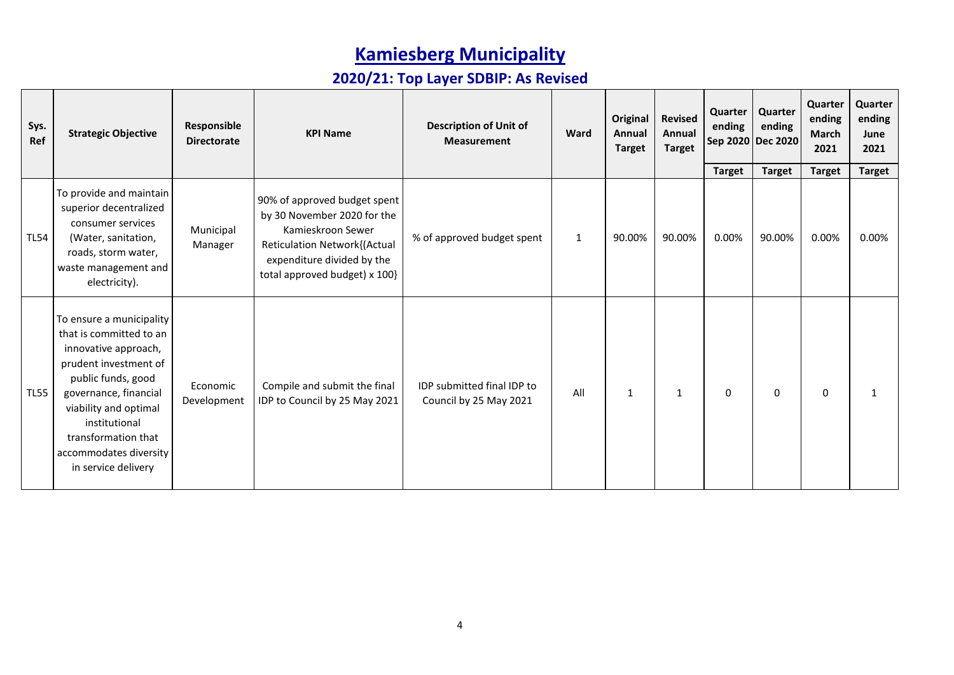| Sys.<br>Ref | <b>Strategic Objective</b>                                                                                                                                                                                                                                            | Responsible<br><b>Directorate</b> | <b>KPI Name</b>                                                                                                                                                                        | <b>Description of Unit of</b><br><b>Measurement</b>  | Ward         | Original<br>Annual<br><b>Target</b> | <b>Revised</b><br>Annual<br><b>Target</b> | Quarter<br>ending | Quarter<br>ending<br>Sep 2020 Dec 2020 | Quarter<br>ending<br>March<br>2021 | Quarter<br>ending<br>June<br>2021 |
|-------------|-----------------------------------------------------------------------------------------------------------------------------------------------------------------------------------------------------------------------------------------------------------------------|-----------------------------------|----------------------------------------------------------------------------------------------------------------------------------------------------------------------------------------|------------------------------------------------------|--------------|-------------------------------------|-------------------------------------------|-------------------|----------------------------------------|------------------------------------|-----------------------------------|
|             |                                                                                                                                                                                                                                                                       |                                   |                                                                                                                                                                                        |                                                      |              |                                     |                                           | <b>Target</b>     | <b>Target</b>                          | <b>Target</b>                      | <b>Target</b>                     |
| <b>TL54</b> | To provide and maintain<br>superior decentralized<br>consumer services<br>(Water, sanitation,<br>roads, storm water,<br>waste management and<br>electricity).                                                                                                         | Municipal<br>Manager              | 90% of approved budget spent<br>by 30 November 2020 for the<br>Kamieskroon Sewer<br><b>Reticulation Network{(Actual</b><br>expenditure divided by the<br>total approved budget) x 100} | % of approved budget spent                           | $\mathbf{1}$ | 90.00%                              | 90.00%                                    | 0.00%             | 90.00%                                 | 0.00%                              | 0.00%                             |
| <b>TL55</b> | To ensure a municipality<br>that is committed to an<br>innovative approach,<br>prudent investment of<br>public funds, good<br>governance, financial<br>viability and optimal<br>institutional<br>transformation that<br>accommodates diversity<br>in service delivery | Economic<br>Development           | Compile and submit the final<br>IDP to Council by 25 May 2021                                                                                                                          | IDP submitted final IDP to<br>Council by 25 May 2021 | All          | 1                                   | 1                                         | 0                 | 0                                      | $\Omega$                           |                                   |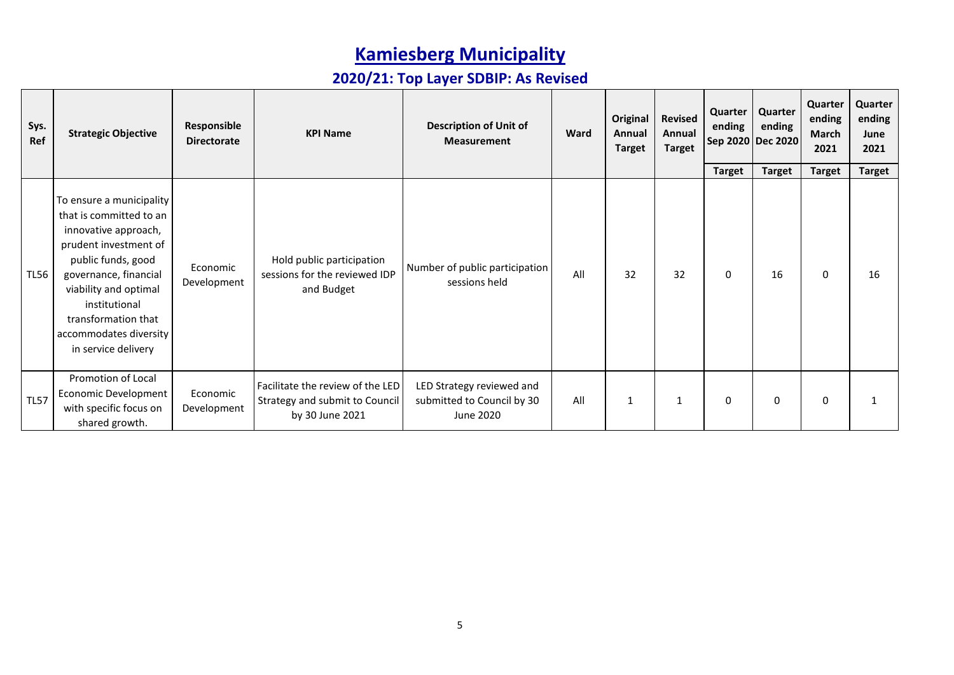| Sys.<br>Ref | <b>Strategic Objective</b>                                                                                                                                                                                                                                            | Responsible<br><b>Directorate</b> | <b>KPI Name</b>                                                                       | <b>Description of Unit of</b><br><b>Measurement</b>                  | Ward | Original<br>Annual<br><b>Target</b> | <b>Revised</b><br>Annual<br><b>Target</b> | Quarter<br>ending  | Quarter<br>ending<br>Sep 2020 Dec 2020 | Quarter<br>ending<br><b>March</b><br>2021 | Quarter<br>ending<br>June<br>2021 |
|-------------|-----------------------------------------------------------------------------------------------------------------------------------------------------------------------------------------------------------------------------------------------------------------------|-----------------------------------|---------------------------------------------------------------------------------------|----------------------------------------------------------------------|------|-------------------------------------|-------------------------------------------|--------------------|----------------------------------------|-------------------------------------------|-----------------------------------|
| <b>TL56</b> | To ensure a municipality<br>that is committed to an<br>innovative approach,<br>prudent investment of<br>public funds, good<br>governance, financial<br>viability and optimal<br>institutional<br>transformation that<br>accommodates diversity<br>in service delivery | Economic<br>Development           | Hold public participation<br>sessions for the reviewed IDP<br>and Budget              | Number of public participation<br>sessions held                      | All  | 32                                  | 32                                        | <b>Target</b><br>0 | <b>Target</b><br>16                    | <b>Target</b><br>$\mathbf{0}$             | <b>Target</b><br>16               |
| <b>TL57</b> | Promotion of Local<br>Economic Development<br>with specific focus on<br>shared growth.                                                                                                                                                                                | Economic<br>Development           | Facilitate the review of the LED<br>Strategy and submit to Council<br>by 30 June 2021 | LED Strategy reviewed and<br>submitted to Council by 30<br>June 2020 | All  | 1                                   |                                           | 0                  | $\Omega$                               | 0                                         |                                   |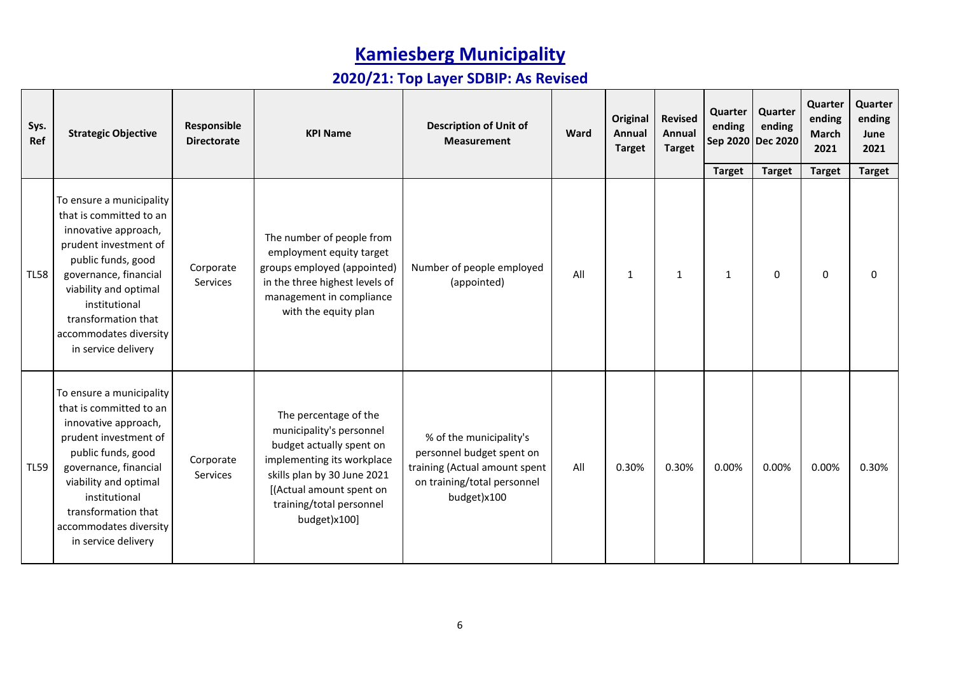| Sys.<br>Ref | <b>Strategic Objective</b>                                                                                                                                                                                                                                            | Responsible<br><b>Directorate</b> | <b>KPI Name</b>                                                                                                                                                                                                    | <b>Description of Unit of</b><br><b>Measurement</b>                                                                                 | Ward | <b>Original</b><br>Annual<br><b>Target</b> | <b>Revised</b><br>Annual<br><b>Target</b> | Quarter<br>ending | Quarter<br>ending<br>Sep 2020 Dec 2020 | Quarter<br>ending<br>March<br>2021 | Quarter<br>ending<br>June<br>2021 |
|-------------|-----------------------------------------------------------------------------------------------------------------------------------------------------------------------------------------------------------------------------------------------------------------------|-----------------------------------|--------------------------------------------------------------------------------------------------------------------------------------------------------------------------------------------------------------------|-------------------------------------------------------------------------------------------------------------------------------------|------|--------------------------------------------|-------------------------------------------|-------------------|----------------------------------------|------------------------------------|-----------------------------------|
|             |                                                                                                                                                                                                                                                                       |                                   |                                                                                                                                                                                                                    |                                                                                                                                     |      |                                            |                                           | <b>Target</b>     | <b>Target</b>                          | <b>Target</b>                      | <b>Target</b>                     |
| <b>TL58</b> | To ensure a municipality<br>that is committed to an<br>innovative approach,<br>prudent investment of<br>public funds, good<br>governance, financial<br>viability and optimal<br>institutional<br>transformation that<br>accommodates diversity<br>in service delivery | Corporate<br>Services             | The number of people from<br>employment equity target<br>groups employed (appointed)<br>in the three highest levels of<br>management in compliance<br>with the equity plan                                         | Number of people employed<br>(appointed)                                                                                            | All  | 1                                          | 1                                         | $\mathbf{1}$      | $\pmb{0}$                              | $\mathbf 0$                        | $\Omega$                          |
| <b>TL59</b> | To ensure a municipality<br>that is committed to an<br>innovative approach,<br>prudent investment of<br>public funds, good<br>governance, financial<br>viability and optimal<br>institutional<br>transformation that<br>accommodates diversity<br>in service delivery | Corporate<br>Services             | The percentage of the<br>municipality's personnel<br>budget actually spent on<br>implementing its workplace<br>skills plan by 30 June 2021<br>[(Actual amount spent on<br>training/total personnel<br>budget)x100] | % of the municipality's<br>personnel budget spent on<br>training (Actual amount spent<br>on training/total personnel<br>budget)x100 | All  | 0.30%                                      | 0.30%                                     | 0.00%             | 0.00%                                  | 0.00%                              | 0.30%                             |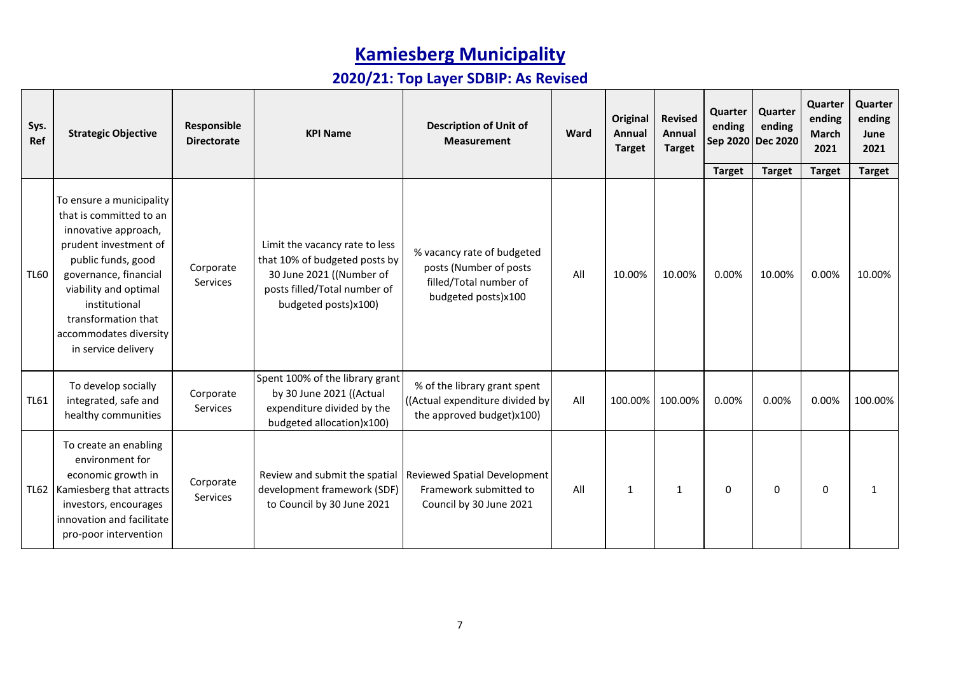| Sys.<br>Ref | <b>Strategic Objective</b>                                                                                                                                                                                                                                            | Responsible<br><b>Directorate</b> | <b>KPI Name</b>                                                                                                                                     | <b>Description of Unit of</b><br><b>Measurement</b>                                                   | Ward | Original<br>Annual<br><b>Target</b> | <b>Revised</b><br>Annual<br><b>Target</b> | Quarter<br>ending | Quarter<br>ending<br>Sep 2020 Dec 2020 | Quarter<br>ending<br>March<br>2021 | Quarter<br>ending<br>June<br>2021 |
|-------------|-----------------------------------------------------------------------------------------------------------------------------------------------------------------------------------------------------------------------------------------------------------------------|-----------------------------------|-----------------------------------------------------------------------------------------------------------------------------------------------------|-------------------------------------------------------------------------------------------------------|------|-------------------------------------|-------------------------------------------|-------------------|----------------------------------------|------------------------------------|-----------------------------------|
|             |                                                                                                                                                                                                                                                                       |                                   |                                                                                                                                                     |                                                                                                       |      |                                     |                                           | <b>Target</b>     | <b>Target</b>                          | <b>Target</b>                      | <b>Target</b>                     |
| <b>TL60</b> | To ensure a municipality<br>that is committed to an<br>innovative approach,<br>prudent investment of<br>public funds, good<br>governance, financial<br>viability and optimal<br>institutional<br>transformation that<br>accommodates diversity<br>in service delivery | Corporate<br>Services             | Limit the vacancy rate to less<br>that 10% of budgeted posts by<br>30 June 2021 ((Number of<br>posts filled/Total number of<br>budgeted posts)x100) | % vacancy rate of budgeted<br>posts (Number of posts<br>filled/Total number of<br>budgeted posts)x100 | All  | 10.00%                              | 10.00%                                    | 0.00%             | 10.00%                                 | 0.00%                              | 10.00%                            |
| <b>TL61</b> | To develop socially<br>integrated, safe and<br>healthy communities                                                                                                                                                                                                    | Corporate<br><b>Services</b>      | Spent 100% of the library grant<br>by 30 June 2021 ((Actual<br>expenditure divided by the<br>budgeted allocation)x100)                              | % of the library grant spent<br>((Actual expenditure divided by<br>the approved budget)x100)          | All  | 100.00%                             | 100.00%                                   | 0.00%             | 0.00%                                  | 0.00%                              | 100.00%                           |
|             | To create an enabling<br>environment for<br>economic growth in<br>TL62   Kamiesberg that attracts<br>investors, encourages<br>innovation and facilitate<br>pro-poor intervention                                                                                      | Corporate<br>Services             | Review and submit the spatial<br>development framework (SDF)<br>to Council by 30 June 2021                                                          | Reviewed Spatial Development<br>Framework submitted to<br>Council by 30 June 2021                     | All  | $\mathbf{1}$                        | $\mathbf{1}$                              | 0                 | $\mathbf{0}$                           | 0                                  |                                   |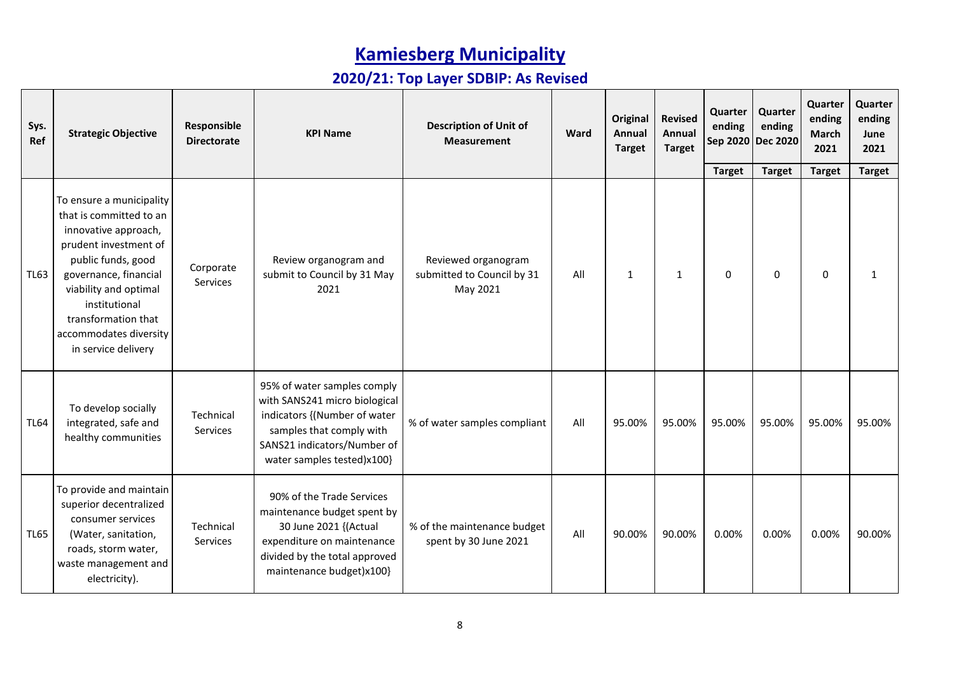| Sys.<br>Ref | <b>Strategic Objective</b>                                                                                                                                                                                                                                            | Responsible<br><b>Directorate</b> | <b>KPI Name</b>                                                                                                                                                                       | <b>Description of Unit of</b><br><b>Measurement</b>           | Ward | Original<br>Annual<br><b>Target</b> | <b>Revised</b><br>Annual<br><b>Target</b> | Quarter<br>ending | Quarter<br>ending<br>Sep 2020 Dec 2020 | Quarter<br>ending<br>March<br>2021 | Quarter<br>ending<br>June<br>2021 |
|-------------|-----------------------------------------------------------------------------------------------------------------------------------------------------------------------------------------------------------------------------------------------------------------------|-----------------------------------|---------------------------------------------------------------------------------------------------------------------------------------------------------------------------------------|---------------------------------------------------------------|------|-------------------------------------|-------------------------------------------|-------------------|----------------------------------------|------------------------------------|-----------------------------------|
|             |                                                                                                                                                                                                                                                                       |                                   |                                                                                                                                                                                       |                                                               |      |                                     |                                           | <b>Target</b>     | <b>Target</b>                          | <b>Target</b>                      | <b>Target</b>                     |
| <b>TL63</b> | To ensure a municipality<br>that is committed to an<br>innovative approach,<br>prudent investment of<br>public funds, good<br>governance, financial<br>viability and optimal<br>institutional<br>transformation that<br>accommodates diversity<br>in service delivery | Corporate<br>Services             | Review organogram and<br>submit to Council by 31 May<br>2021                                                                                                                          | Reviewed organogram<br>submitted to Council by 31<br>May 2021 | All  | $\mathbf{1}$                        | $\mathbf{1}$                              | 0                 | 0                                      | $\Omega$                           | $\mathbf{1}$                      |
| <b>TL64</b> | To develop socially<br>integrated, safe and<br>healthy communities                                                                                                                                                                                                    | Technical<br>Services             | 95% of water samples comply<br>with SANS241 micro biological<br>indicators {(Number of water<br>samples that comply with<br>SANS21 indicators/Number of<br>water samples tested)x100} | % of water samples compliant                                  | All  | 95.00%                              | 95.00%                                    | 95.00%            | 95.00%                                 | 95.00%                             | 95.00%                            |
| <b>TL65</b> | To provide and maintain<br>superior decentralized<br>consumer services<br>(Water, sanitation,<br>roads, storm water,<br>waste management and<br>electricity).                                                                                                         | Technical<br>Services             | 90% of the Trade Services<br>maintenance budget spent by<br>30 June 2021 {(Actual<br>expenditure on maintenance<br>divided by the total approved<br>maintenance budget)x100}          | % of the maintenance budget<br>spent by 30 June 2021          | All  | 90.00%                              | 90.00%                                    | 0.00%             | 0.00%                                  | 0.00%                              | 90.00%                            |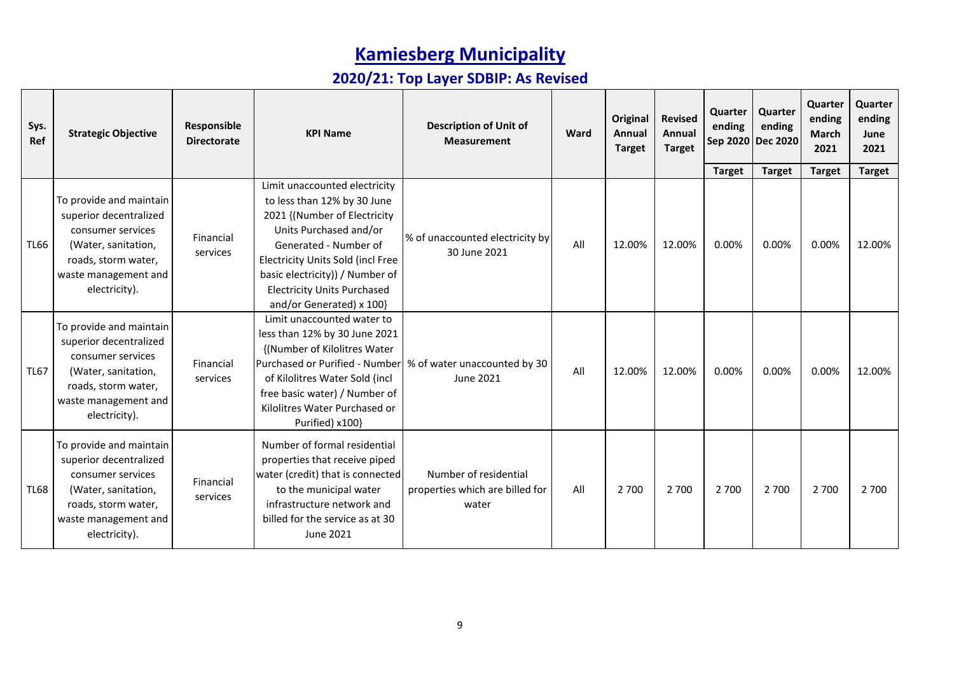| Sys.<br>Ref | <b>Strategic Objective</b>                                                                                                                                    | Responsible<br><b>Directorate</b> | <b>KPI Name</b>                                                                                                                                                                                                                                                                           | <b>Description of Unit of</b><br><b>Measurement</b>               | Ward | Original<br>Annual<br><b>Target</b> | <b>Revised</b><br>Annual<br><b>Target</b> | Quarter<br>ending      | Quarter<br>ending<br>Sep 2020 Dec 2020 | Quarter<br>ending<br><b>March</b><br>2021 | Quarter<br>ending<br>June<br>2021 |
|-------------|---------------------------------------------------------------------------------------------------------------------------------------------------------------|-----------------------------------|-------------------------------------------------------------------------------------------------------------------------------------------------------------------------------------------------------------------------------------------------------------------------------------------|-------------------------------------------------------------------|------|-------------------------------------|-------------------------------------------|------------------------|----------------------------------------|-------------------------------------------|-----------------------------------|
| <b>TL66</b> | To provide and maintain<br>superior decentralized<br>consumer services<br>(Water, sanitation,<br>roads, storm water,<br>waste management and<br>electricity). | Financial<br>services             | Limit unaccounted electricity<br>to less than 12% by 30 June<br>2021 {(Number of Electricity<br>Units Purchased and/or<br>Generated - Number of<br>Electricity Units Sold (incl Free<br>basic electricity)) / Number of<br><b>Electricity Units Purchased</b><br>and/or Generated) x 100} | % of unaccounted electricity by<br>30 June 2021                   | All  | 12.00%                              | 12.00%                                    | <b>Target</b><br>0.00% | <b>Target</b><br>0.00%                 | <b>Target</b><br>0.00%                    | <b>Target</b><br>12.00%           |
| <b>TL67</b> | To provide and maintain<br>superior decentralized<br>consumer services<br>(Water, sanitation,<br>roads, storm water,<br>waste management and<br>electricity). | Financial<br>services             | Limit unaccounted water to<br>less than 12% by 30 June 2021<br>{(Number of Kilolitres Water<br>Purchased or Purified - Number<br>of Kilolitres Water Sold (incl<br>free basic water) / Number of<br>Kilolitres Water Purchased or<br>Purified) x100}                                      | % of water unaccounted by 30<br>June 2021                         | All  | 12.00%                              | 12.00%                                    | 0.00%                  | 0.00%                                  | 0.00%                                     | 12.00%                            |
| <b>TL68</b> | To provide and maintain<br>superior decentralized<br>consumer services<br>(Water, sanitation,<br>roads, storm water,<br>waste management and<br>electricity). | Financial<br>services             | Number of formal residential<br>properties that receive piped<br>water (credit) that is connected<br>to the municipal water<br>infrastructure network and<br>billed for the service as at 30<br>June 2021                                                                                 | Number of residential<br>properties which are billed for<br>water | All  | 2 700                               | 2 700                                     | 2 700                  | 2 700                                  | 2 700                                     | 2 700                             |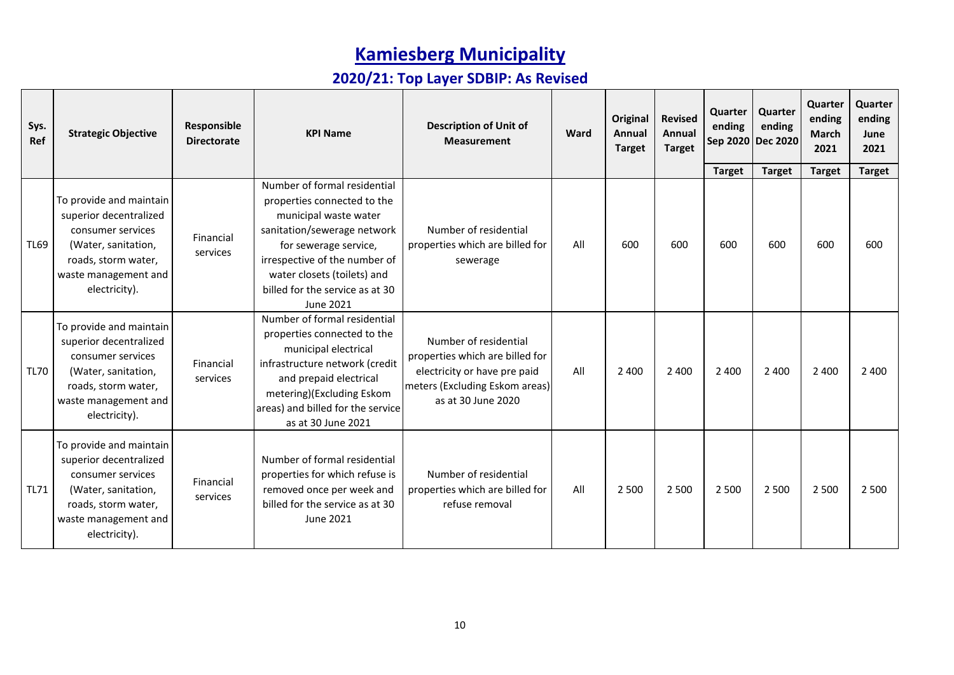| Sys.<br>Ref | <b>Strategic Objective</b>                                                                                                                                    | Responsible<br><b>Directorate</b> | <b>KPI Name</b>                                                                                                                                                                                                                         | <b>Description of Unit of</b><br><b>Measurement</b>                                                                                              | Ward | <b>Original</b><br>Annual<br><b>Target</b> | <b>Revised</b><br>Annual<br><b>Target</b> | Quarter<br>ending<br>Sep 2020 | Quarter<br>ending<br><b>Dec 2020</b> | Quarter<br>ending<br><b>March</b><br>2021 | Quarter<br>ending<br>June<br>2021 |
|-------------|---------------------------------------------------------------------------------------------------------------------------------------------------------------|-----------------------------------|-----------------------------------------------------------------------------------------------------------------------------------------------------------------------------------------------------------------------------------------|--------------------------------------------------------------------------------------------------------------------------------------------------|------|--------------------------------------------|-------------------------------------------|-------------------------------|--------------------------------------|-------------------------------------------|-----------------------------------|
|             |                                                                                                                                                               |                                   | Number of formal residential                                                                                                                                                                                                            |                                                                                                                                                  |      |                                            |                                           | <b>Target</b>                 | <b>Target</b>                        | <b>Target</b>                             | <b>Target</b>                     |
| <b>TL69</b> | To provide and maintain<br>superior decentralized<br>consumer services<br>(Water, sanitation,<br>roads, storm water,<br>waste management and<br>electricity). | Financial<br>services             | properties connected to the<br>municipal waste water<br>sanitation/sewerage network<br>for sewerage service,<br>irrespective of the number of<br>water closets (toilets) and<br>billed for the service as at 30<br>June 2021            | Number of residential<br>properties which are billed for<br>sewerage                                                                             | All  | 600                                        | 600                                       | 600                           | 600                                  | 600                                       | 600                               |
| <b>TL70</b> | To provide and maintain<br>superior decentralized<br>consumer services<br>(Water, sanitation,<br>roads, storm water,<br>waste management and<br>electricity). | Financial<br>services             | Number of formal residential<br>properties connected to the<br>municipal electrical<br>infrastructure network (credit<br>and prepaid electrical<br>metering)(Excluding Eskom<br>areas) and billed for the service<br>as at 30 June 2021 | Number of residential<br>properties which are billed for<br>electricity or have pre paid<br>meters (Excluding Eskom areas)<br>as at 30 June 2020 | All  | 2 4 0 0                                    | 2 4 0 0                                   | 2 4 0 0                       | 2 4 0 0                              | 2 4 0 0                                   | 2 4 0 0                           |
| <b>TL71</b> | To provide and maintain<br>superior decentralized<br>consumer services<br>(Water, sanitation,<br>roads, storm water,<br>waste management and<br>electricity). | Financial<br>services             | Number of formal residential<br>properties for which refuse is<br>removed once per week and<br>billed for the service as at 30<br><b>June 2021</b>                                                                                      | Number of residential<br>properties which are billed for<br>refuse removal                                                                       | All  | 2 5 0 0                                    | 2 5 0 0                                   | 2 500                         | 2 5 0 0                              | 2 5 0 0                                   | 2 5 0 0                           |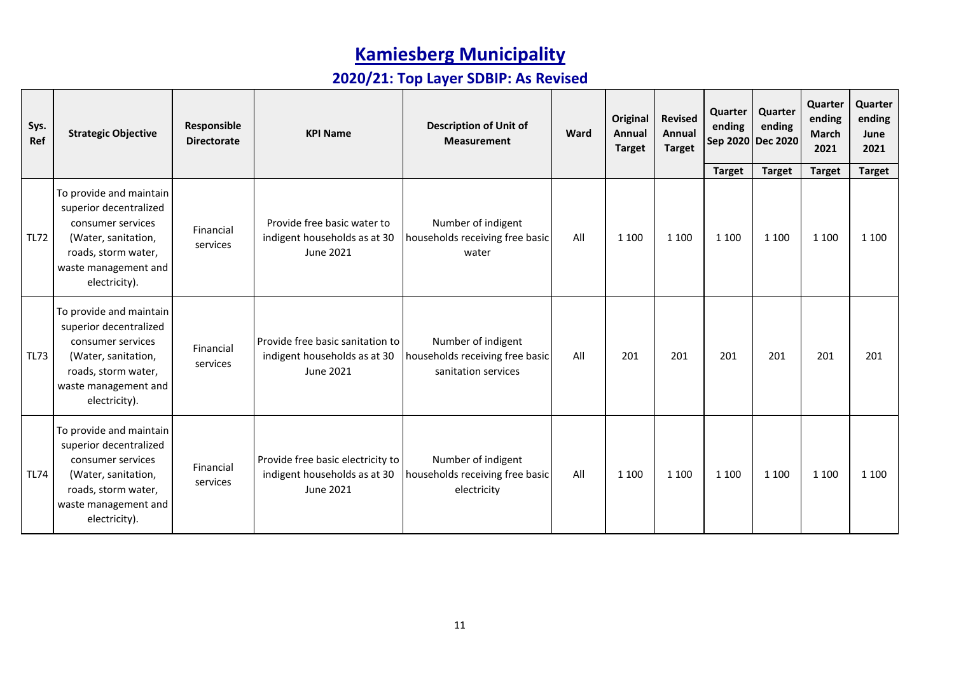| Sys.<br>Ref | <b>Strategic Objective</b>                                                                                                                                    | Responsible<br><b>Directorate</b> | <b>KPI Name</b>                                                                | <b>Description of Unit of</b><br><b>Measurement</b>                          | Ward | <b>Original</b><br>Annual<br><b>Target</b> | <b>Revised</b><br><b>Annual</b><br><b>Target</b> | Quarter<br>ending        | Quarter<br>ending<br>Sep 2020 Dec 2020 | Quarter<br>ending<br><b>March</b><br>2021 | Quarter<br>ending<br>June<br>2021 |
|-------------|---------------------------------------------------------------------------------------------------------------------------------------------------------------|-----------------------------------|--------------------------------------------------------------------------------|------------------------------------------------------------------------------|------|--------------------------------------------|--------------------------------------------------|--------------------------|----------------------------------------|-------------------------------------------|-----------------------------------|
| <b>TL72</b> | To provide and maintain<br>superior decentralized<br>consumer services<br>(Water, sanitation,<br>roads, storm water,<br>waste management and<br>electricity). | Financial<br>services             | Provide free basic water to<br>indigent households as at 30<br>June 2021       | Number of indigent<br>households receiving free basic<br>water               | All  | 1 1 0 0                                    | 1 1 0 0                                          | <b>Target</b><br>1 1 0 0 | <b>Target</b><br>1 1 0 0               | <b>Target</b><br>1 1 0 0                  | <b>Target</b><br>1 1 0 0          |
| <b>TL73</b> | To provide and maintain<br>superior decentralized<br>consumer services<br>(Water, sanitation,<br>roads, storm water,<br>waste management and<br>electricity). | Financial<br>services             | Provide free basic sanitation to<br>indigent households as at 30<br>June 2021  | Number of indigent<br>households receiving free basic<br>sanitation services | All  | 201                                        | 201                                              | 201                      | 201                                    | 201                                       | 201                               |
| <b>TL74</b> | To provide and maintain<br>superior decentralized<br>consumer services<br>(Water, sanitation,<br>roads, storm water,<br>waste management and<br>electricity). | Financial<br>services             | Provide free basic electricity to<br>indigent households as at 30<br>June 2021 | Number of indigent<br>households receiving free basic<br>electricity         | All  | 1 1 0 0                                    | 1 1 0 0                                          | 1 1 0 0                  | 1 1 0 0                                | 1 1 0 0                                   | 1 1 0 0                           |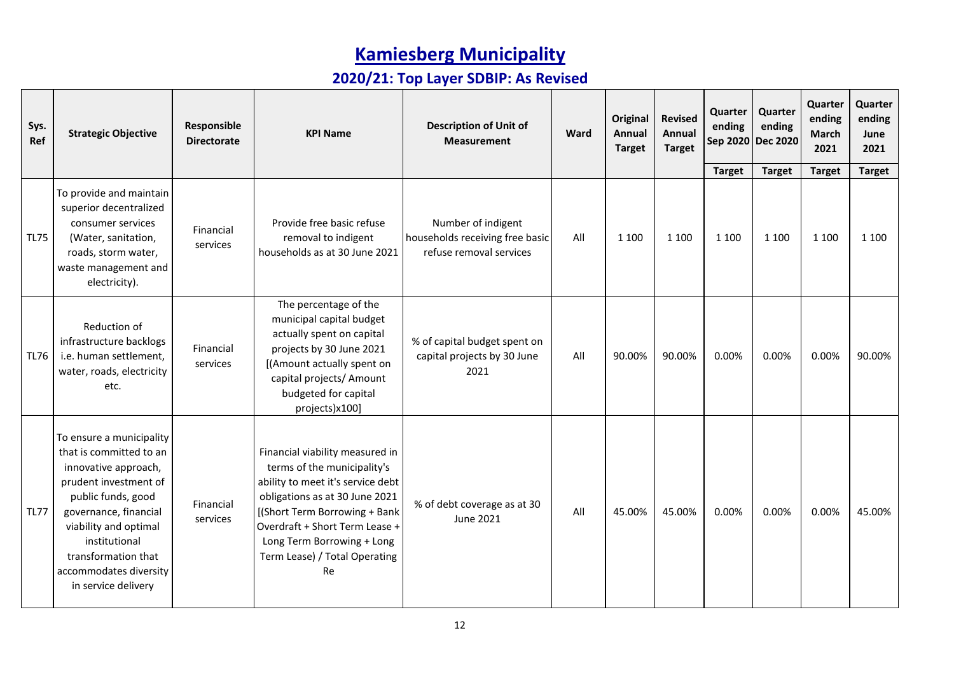| Sys.<br>Ref | <b>Strategic Objective</b>                                                                                                                                                                                                                                            | Responsible<br><b>Directorate</b> | <b>KPI Name</b>                                                                                                                                                                                                                                                               | <b>Description of Unit of</b><br><b>Measurement</b>                              | Ward | Original<br>Annual<br><b>Target</b> | <b>Revised</b><br>Annual<br><b>Target</b> | Quarter<br>ending<br>Sep 2020<br><b>Target</b> | Quarter<br>ending<br><b>Dec 2020</b><br><b>Target</b> | Quarter<br>ending<br><b>March</b><br>2021<br><b>Target</b> | Quarter<br>ending<br>June<br>2021<br><b>Target</b> |
|-------------|-----------------------------------------------------------------------------------------------------------------------------------------------------------------------------------------------------------------------------------------------------------------------|-----------------------------------|-------------------------------------------------------------------------------------------------------------------------------------------------------------------------------------------------------------------------------------------------------------------------------|----------------------------------------------------------------------------------|------|-------------------------------------|-------------------------------------------|------------------------------------------------|-------------------------------------------------------|------------------------------------------------------------|----------------------------------------------------|
| <b>TL75</b> | To provide and maintain<br>superior decentralized<br>consumer services<br>(Water, sanitation,<br>roads, storm water,<br>waste management and<br>electricity).                                                                                                         | Financial<br>services             | Provide free basic refuse<br>removal to indigent<br>households as at 30 June 2021                                                                                                                                                                                             | Number of indigent<br>households receiving free basic<br>refuse removal services | All  | 1 1 0 0                             | 1 1 0 0                                   | 1 1 0 0                                        | 1 1 0 0                                               | 1 1 0 0                                                    | 1 1 0 0                                            |
| <b>TL76</b> | Reduction of<br>infrastructure backlogs<br>i.e. human settlement,<br>water, roads, electricity<br>etc.                                                                                                                                                                | Financial<br>services             | The percentage of the<br>municipal capital budget<br>actually spent on capital<br>projects by 30 June 2021<br>[(Amount actually spent on<br>capital projects/ Amount<br>budgeted for capital<br>projects)x100]                                                                | % of capital budget spent on<br>capital projects by 30 June<br>2021              | All  | 90.00%                              | 90.00%                                    | 0.00%                                          | 0.00%                                                 | 0.00%                                                      | 90.00%                                             |
| <b>TL77</b> | To ensure a municipality<br>that is committed to an<br>innovative approach,<br>prudent investment of<br>public funds, good<br>governance, financial<br>viability and optimal<br>institutional<br>transformation that<br>accommodates diversity<br>in service delivery | Financial<br>services             | Financial viability measured in<br>terms of the municipality's<br>ability to meet it's service debt<br>obligations as at 30 June 2021<br>[(Short Term Borrowing + Bank<br>Overdraft + Short Term Lease +<br>Long Term Borrowing + Long<br>Term Lease) / Total Operating<br>Re | % of debt coverage as at 30<br>June 2021                                         | All  | 45.00%                              | 45.00%                                    | 0.00%                                          | 0.00%                                                 | 0.00%                                                      | 45.00%                                             |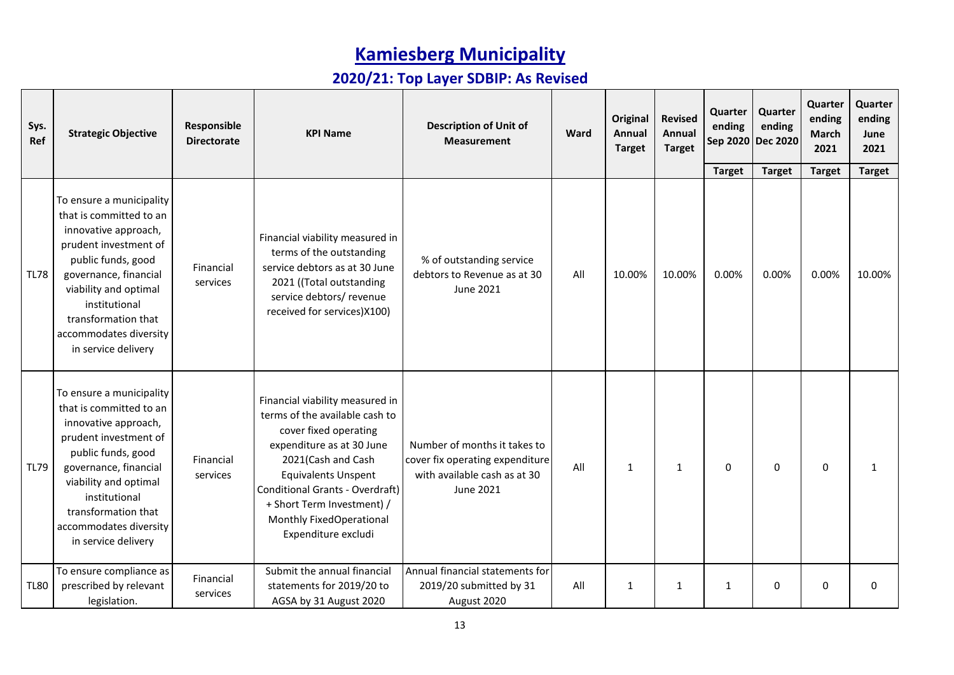| Sys.<br>Ref | <b>Strategic Objective</b>                                                                                                                                                                                                                                            | Responsible<br><b>Directorate</b> | <b>KPI Name</b>                                                                                                                                                                                                                                                                                        | <b>Description of Unit of</b><br><b>Measurement</b>                                                          | Ward | <b>Original</b><br>Annual<br><b>Target</b> | <b>Revised</b><br>Annual<br><b>Target</b> | Quarter<br>ending<br>Sep 2020 | Quarter<br>ending<br><b>Dec 2020</b> | Quarter<br>ending<br><b>March</b><br>2021 | Quarter<br>ending<br>June<br>2021 |
|-------------|-----------------------------------------------------------------------------------------------------------------------------------------------------------------------------------------------------------------------------------------------------------------------|-----------------------------------|--------------------------------------------------------------------------------------------------------------------------------------------------------------------------------------------------------------------------------------------------------------------------------------------------------|--------------------------------------------------------------------------------------------------------------|------|--------------------------------------------|-------------------------------------------|-------------------------------|--------------------------------------|-------------------------------------------|-----------------------------------|
|             |                                                                                                                                                                                                                                                                       |                                   |                                                                                                                                                                                                                                                                                                        |                                                                                                              |      |                                            |                                           | <b>Target</b>                 | <b>Target</b>                        | <b>Target</b>                             | <b>Target</b>                     |
| <b>TL78</b> | To ensure a municipality<br>that is committed to an<br>innovative approach,<br>prudent investment of<br>public funds, good<br>governance, financial<br>viability and optimal<br>institutional<br>transformation that<br>accommodates diversity<br>in service delivery | Financial<br>services             | Financial viability measured in<br>terms of the outstanding<br>service debtors as at 30 June<br>2021 ((Total outstanding<br>service debtors/ revenue<br>received for services) X100)                                                                                                                   | % of outstanding service<br>debtors to Revenue as at 30<br>June 2021                                         | All  | 10.00%                                     | 10.00%                                    | 0.00%                         | 0.00%                                | 0.00%                                     | 10.00%                            |
| <b>TL79</b> | To ensure a municipality<br>that is committed to an<br>innovative approach,<br>prudent investment of<br>public funds, good<br>governance, financial<br>viability and optimal<br>institutional<br>transformation that<br>accommodates diversity<br>in service delivery | Financial<br>services             | Financial viability measured in<br>terms of the available cash to<br>cover fixed operating<br>expenditure as at 30 June<br>2021(Cash and Cash<br><b>Equivalents Unspent</b><br><b>Conditional Grants - Overdraft)</b><br>+ Short Term Investment) /<br>Monthly FixedOperational<br>Expenditure excludi | Number of months it takes to<br>cover fix operating expenditure<br>with available cash as at 30<br>June 2021 | All  | 1                                          | 1                                         | 0                             | 0                                    | $\mathbf 0$                               | $\mathbf{1}$                      |
| <b>TL80</b> | To ensure compliance as<br>prescribed by relevant<br>legislation.                                                                                                                                                                                                     | Financial<br>services             | Submit the annual financial<br>statements for 2019/20 to<br>AGSA by 31 August 2020                                                                                                                                                                                                                     | Annual financial statements for<br>2019/20 submitted by 31<br>August 2020                                    | All  | 1                                          | 1                                         | $\mathbf{1}$                  | 0                                    | $\Omega$                                  | $\Omega$                          |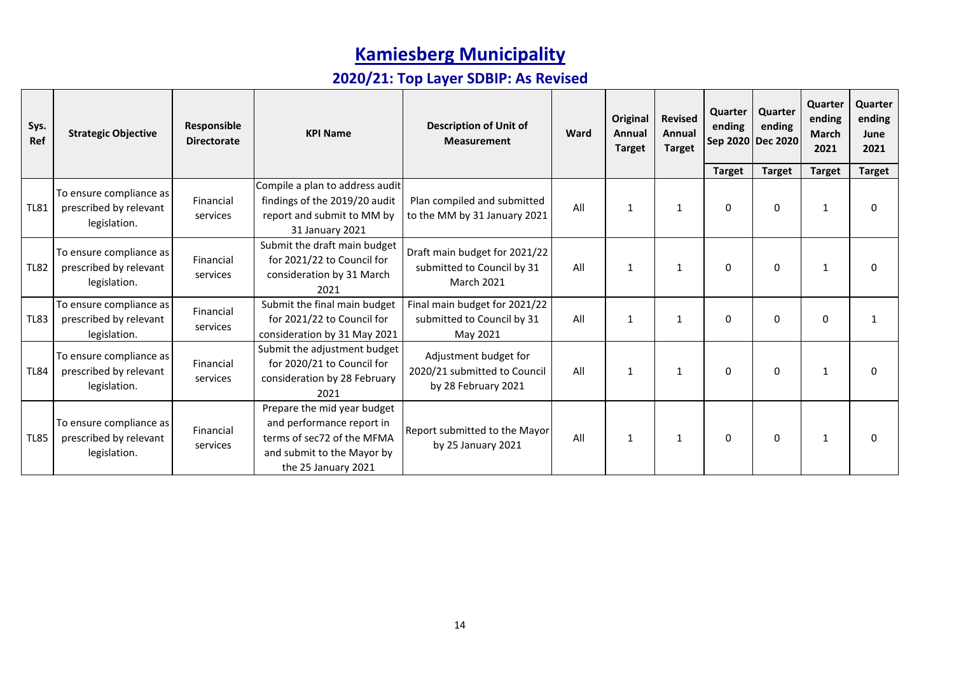| Sys.<br>Ref | <b>Strategic Objective</b>                                        | Responsible<br><b>Directorate</b> | <b>KPI Name</b>                                                                                                                             | <b>Description of Unit of</b><br><b>Measurement</b>                              | Ward | <b>Original</b><br>Annual<br><b>Target</b> | <b>Revised</b><br>Annual<br><b>Target</b> | Quarter<br>ending<br>Sep 2020 | Quarter<br>ending<br><b>Dec 2020</b> | Quarter<br>ending<br><b>March</b><br>2021 | Quarter<br>ending<br>June<br>2021 |
|-------------|-------------------------------------------------------------------|-----------------------------------|---------------------------------------------------------------------------------------------------------------------------------------------|----------------------------------------------------------------------------------|------|--------------------------------------------|-------------------------------------------|-------------------------------|--------------------------------------|-------------------------------------------|-----------------------------------|
|             |                                                                   |                                   |                                                                                                                                             |                                                                                  |      |                                            |                                           | <b>Target</b>                 | <b>Target</b>                        | <b>Target</b>                             | <b>Target</b>                     |
| <b>TL81</b> | To ensure compliance as<br>prescribed by relevant<br>legislation. | Financial<br>services             | Compile a plan to address audit<br>findings of the 2019/20 audit<br>report and submit to MM by<br>31 January 2021                           | Plan compiled and submitted<br>to the MM by 31 January 2021                      | All  | 1                                          | 1                                         | 0                             | 0                                    | $\mathbf{1}$                              | $\Omega$                          |
| <b>TL82</b> | To ensure compliance as<br>prescribed by relevant<br>legislation. | Financial<br>services             | Submit the draft main budget<br>for 2021/22 to Council for<br>consideration by 31 March<br>2021                                             | Draft main budget for 2021/22<br>submitted to Council by 31<br><b>March 2021</b> | All  | 1                                          | 1                                         | 0                             | 0                                    | $\mathbf{1}$                              | $\Omega$                          |
| <b>TL83</b> | To ensure compliance as<br>prescribed by relevant<br>legislation. | Financial<br>services             | Submit the final main budget<br>for 2021/22 to Council for<br>consideration by 31 May 2021                                                  | Final main budget for 2021/22<br>submitted to Council by 31<br>May 2021          | All  | 1                                          | 1                                         | $\mathbf 0$                   | 0                                    | $\Omega$                                  | 1                                 |
| <b>TL84</b> | To ensure compliance as<br>prescribed by relevant<br>legislation. | Financial<br>services             | Submit the adjustment budget<br>for 2020/21 to Council for<br>consideration by 28 February<br>2021                                          | Adjustment budget for<br>2020/21 submitted to Council<br>by 28 February 2021     | All  | $\mathbf{1}$                               | 1                                         | $\mathbf{0}$                  | $\Omega$                             | $\mathbf{1}$                              | $\Omega$                          |
| <b>TL85</b> | To ensure compliance as<br>prescribed by relevant<br>legislation. | Financial<br>services             | Prepare the mid year budget<br>and performance report in<br>terms of sec72 of the MFMA<br>and submit to the Mayor by<br>the 25 January 2021 | Report submitted to the Mayor<br>by 25 January 2021                              | All  | $\mathbf{1}$                               | 1                                         | 0                             | 0                                    | 1                                         | n                                 |